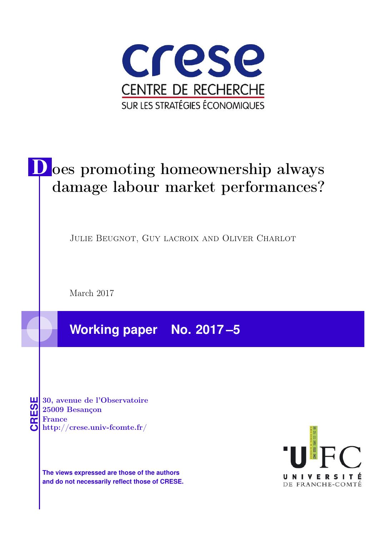

# D oes promoting homeownership always damage labour market performances?

Julie Beugnot, Guy lacroix and Oliver Charlot

March 2017

**Working paper No. 2017 –5**

**CRESE 30, avenue de l'Observatoire<br>
25009 Besançon<br>
France<br>
<b>CRESE de l'Observatoire**<br>
Http://crese.univ-fcomte.fr/ 25009 Besançon France

**The views expressed are those of the authors and do not necessarily reflect those of CRESE.**

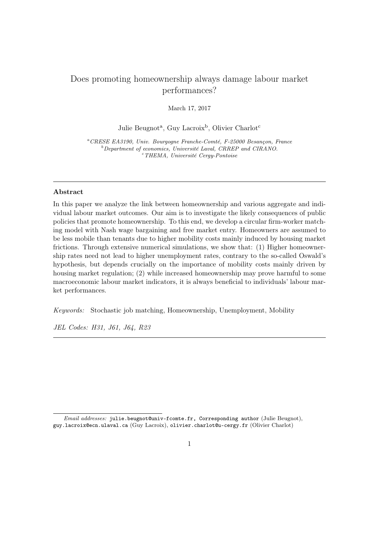# Does promoting homeownership always damage labour market performances?

March 17, 2017

Julie Beugnot<sup>a</sup>, Guy Lacroix<sup>b</sup>, Olivier Charlot<sup>c</sup>

<sup>a</sup>CRESE EA3190, Univ. Bourgogne Franche-Comté, F-25000 Besançon, France  $b$ Department of economics, Université Laval, CRREP and CIRANO.  $^{\rm c}$ THEMA, Université Cergy-Pontoise

# Abstract

In this paper we analyze the link between homeownership and various aggregate and individual labour market outcomes. Our aim is to investigate the likely consequences of public policies that promote homeownership. To this end, we develop a circular firm-worker matching model with Nash wage bargaining and free market entry. Homeowners are assumed to be less mobile than tenants due to higher mobility costs mainly induced by housing market frictions. Through extensive numerical simulations, we show that: (1) Higher homeownership rates need not lead to higher unemployment rates, contrary to the so-called Oswald's hypothesis, but depends crucially on the importance of mobility costs mainly driven by housing market regulation; (2) while increased homeownership may prove harmful to some macroeconomic labour market indicators, it is always beneficial to individuals' labour market performances.

Keywords: Stochastic job matching, Homeownership, Unemployment, Mobility

JEL Codes: H31, J61, J64, R23

Email addresses: julie.beugnot@univ-fcomte.fr, Corresponding author (Julie Beugnot), guy.lacroix@ecn.ulaval.ca (Guy Lacroix), olivier.charlot@u-cergy.fr (Olivier Charlot)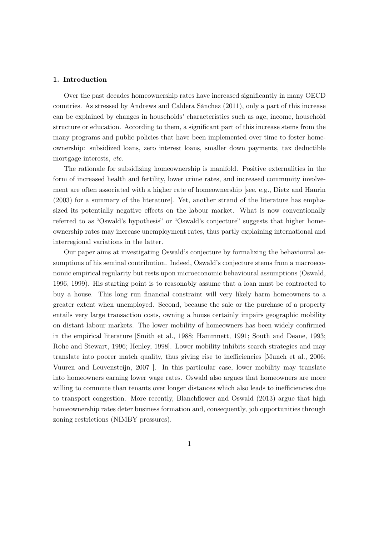#### 1. Introduction

Over the past decades homeownership rates have increased significantly in many OECD countries. As stressed by Andrews and Caldera Sànchez (2011), only a part of this increase can be explained by changes in households' characteristics such as age, income, household structure or education. According to them, a significant part of this increase stems from the many programs and public policies that have been implemented over time to foster homeownership: subsidized loans, zero interest loans, smaller down payments, tax deductible mortgage interests, etc.

The rationale for subsidizing homeownership is manifold. Positive externalities in the form of increased health and fertility, lower crime rates, and increased community involvement are often associated with a higher rate of homeownership [see, e.g., Dietz and Haurin (2003) for a summary of the literature]. Yet, another strand of the literature has emphasized its potentially negative effects on the labour market. What is now conventionally referred to as "Oswald's hypothesis" or "Oswald's conjecture" suggests that higher homeownership rates may increase unemployment rates, thus partly explaining international and interregional variations in the latter.

Our paper aims at investigating Oswald's conjecture by formalizing the behavioural assumptions of his seminal contribution. Indeed, Oswald's conjecture stems from a macroeconomic empirical regularity but rests upon microeconomic behavioural assumptions (Oswald, 1996, 1999). His starting point is to reasonably assume that a loan must be contracted to buy a house. This long run financial constraint will very likely harm homeowners to a greater extent when unemployed. Second, because the sale or the purchase of a property entails very large transaction costs, owning a house certainly impairs geographic mobility on distant labour markets. The lower mobility of homeowners has been widely confirmed in the empirical literature [Smith et al., 1988; Hammnett, 1991; South and Deane, 1993; Rohe and Stewart, 1996; Henley, 1998]. Lower mobility inhibits search strategies and may translate into poorer match quality, thus giving rise to inefficiencies [Munch et al., 2006; Vuuren and Leuvensteijn, 2007 ]. In this particular case, lower mobility may translate into homeowners earning lower wage rates. Oswald also argues that homeowners are more willing to commute than tenants over longer distances which also leads to inefficiencies due to transport congestion. More recently, Blanchflower and Oswald (2013) argue that high homeownership rates deter business formation and, consequently, job opportunities through zoning restrictions (NIMBY pressures).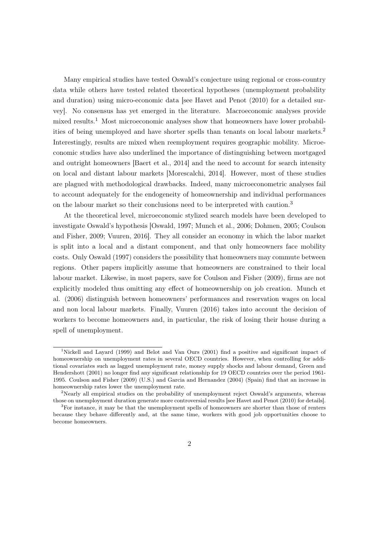Many empirical studies have tested Oswald's conjecture using regional or cross-country data while others have tested related theoretical hypotheses (unemployment probability and duration) using micro-economic data [see Havet and Penot (2010) for a detailed survey]. No consensus has yet emerged in the literature. Macroeconomic analyses provide mixed results.<sup>1</sup> Most microeconomic analyses show that homeowners have lower probabilities of being unemployed and have shorter spells than tenants on local labour markets.<sup>2</sup> Interestingly, results are mixed when reemployment requires geographic mobility. Microeconomic studies have also underlined the importance of distinguishing between mortgaged and outright homeowners [Baert et al., 2014] and the need to account for search intensity on local and distant labour markets [Morescalchi, 2014]. However, most of these studies are plagued with methodological drawbacks. Indeed, many microeconometric analyses fail to account adequately for the endogeneity of homeownership and individual performances on the labour market so their conclusions need to be interpreted with caution.<sup>3</sup>

At the theoretical level, microeconomic stylized search models have been developed to investigate Oswald's hypothesis [Oswald, 1997; Munch et al., 2006; Dohmen, 2005; Coulson and Fisher, 2009; Vuuren, 2016]. They all consider an economy in which the labor market is split into a local and a distant component, and that only homeowners face mobility costs. Only Oswald (1997) considers the possibility that homeowners may commute between regions. Other papers implicitly assume that homeowners are constrained to their local labour market. Likewise, in most papers, save for Coulson and Fisher (2009), firms are not explicitly modeled thus omitting any effect of homeownership on job creation. Munch et al. (2006) distinguish between homeowners' performances and reservation wages on local and non local labour markets. Finally, Vuuren (2016) takes into account the decision of workers to become homeowners and, in particular, the risk of losing their house during a spell of unemployment.

<sup>1</sup>Nickell and Layard (1999) and Belot and Van Ours (2001) find a positive and significant impact of homeownership on unemployment rates in several OECD countries. However, when controlling for additional covariates such as lagged unemployment rate, money supply shocks and labour demand, Green and Hendershott (2001) no longer find any significant relationship for 19 OECD countries over the period 1961- 1995. Coulson and Fisher (2009) (U.S.) and Garcia and Hernandez (2004) (Spain) find that an increase in homeownership rates lower the unemployment rate.

<sup>&</sup>lt;sup>2</sup>Nearly all empirical studies on the probability of unemployment reject Oswald's arguments, whereas those on unemployment duration generate more controversial results [see Havet and Penot (2010) for details].

 ${}^{3}$  For instance, it may be that the unemployment spells of homeowners are shorter than those of renters because they behave differently and, at the same time, workers with good job opportunities choose to become homeowners.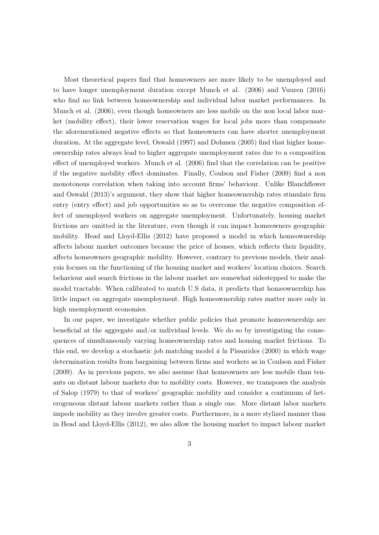Most theoretical papers find that homeowners are more likely to be unemployed and to have longer unemployment duration except Munch et al. (2006) and Vuuren (2016) who find no link between homeownership and individual labor market performances. In Munch et al. (2006), even though homeowners are less mobile on the non local labor market (mobility effect), their lower reservation wages for local jobs more than compensate the aforementioned negative effects so that homeowners can have shorter unemployment duration. At the aggregate level, Oswald (1997) and Dohmen (2005) find that higher homeownership rates always lead to higher aggregate unemployment rates due to a composition effect of unemployed workers. Munch et al. (2006) find that the correlation can be positive if the negative mobility effect dominates. Finally, Coulson and Fisher (2009) find a non monotonous correlation when taking into account firms' behaviour. Unlike Blanchflower and Oswald (2013)'s argument, they show that higher homeownership rates stimulate firm entry (entry effect) and job opportunities so as to overcome the negative composition effect of unemployed workers on aggregate unemployment. Unfortunately, housing market frictions are omitted in the literature, even though it can impact homeowners geographic mobility. Head and Lloyd-Ellis (2012) have proposed a model in which homeownership affects labour market outcomes because the price of houses, which reflects their liquidity, affects homeowners geographic mobility. However, contrary to previous models, their analysis focuses on the functioning of the housing market and workers' location choices. Search behaviour and search frictions in the labour market are somewhat sidestepped to make the model tractable. When calibrated to match U.S data, it predicts that homeownership has little impact on aggregate unemployment. High homeownership rates matter more only in high unemployment economies.

In our paper, we investigate whether public policies that promote homeownership are beneficial at the aggregate and/or individual levels. We do so by investigating the consequences of simultaneously varying homeownership rates and housing market frictions. To this end, we develop a stochastic job matching model  $\dot{a}$  la Pissarides (2000) in which wage determination results from bargaining between firms and workers as in Coulson and Fisher (2009). As in previous papers, we also assume that homeowners are less mobile than tenants on distant labour markets due to mobility costs. However, we transposes the analysis of Salop (1979) to that of workers' geographic mobility and consider a continuum of heterogeneous distant labour markets rather than a single one. More distant labor markets impede mobility as they involve greater costs. Furthermore, in a more stylized manner than in Head and Lloyd-Ellis (2012), we also allow the housing market to impact labour market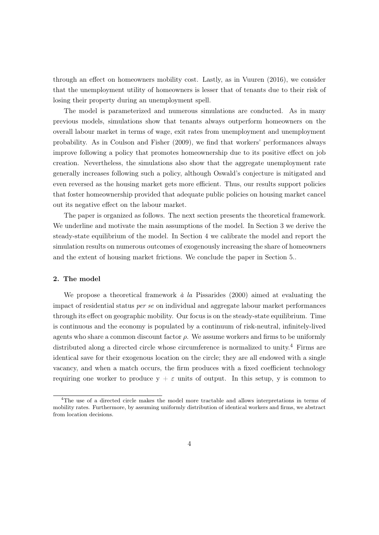through an effect on homeowners mobility cost. Lastly, as in Vuuren (2016), we consider that the unemployment utility of homeowners is lesser that of tenants due to their risk of losing their property during an unemployment spell.

The model is parameterized and numerous simulations are conducted. As in many previous models, simulations show that tenants always outperform homeowners on the overall labour market in terms of wage, exit rates from unemployment and unemployment probability. As in Coulson and Fisher (2009), we find that workers' performances always improve following a policy that promotes homeownership due to its positive effect on job creation. Nevertheless, the simulations also show that the aggregate unemployment rate generally increases following such a policy, although Oswald's conjecture is mitigated and even reversed as the housing market gets more efficient. Thus, our results support policies that foster homeownership provided that adequate public policies on housing market cancel out its negative effect on the labour market.

The paper is organized as follows. The next section presents the theoretical framework. We underline and motivate the main assumptions of the model. In Section 3 we derive the steady-state equilibrium of the model. In Section 4 we calibrate the model and report the simulation results on numerous outcomes of exogenously increasing the share of homeowners and the extent of housing market frictions. We conclude the paper in Section 5..

# 2. The model

We propose a theoretical framework  $\dot{a}$  la Pissarides (2000) aimed at evaluating the impact of residential status per se on individual and aggregate labour market performances through its effect on geographic mobility. Our focus is on the steady-state equilibrium. Time is continuous and the economy is populated by a continuum of risk-neutral, infinitely-lived agents who share a common discount factor  $\rho$ . We assume workers and firms to be uniformly distributed along a directed circle whose circumference is normalized to unity.<sup>4</sup> Firms are identical save for their exogenous location on the circle; they are all endowed with a single vacancy, and when a match occurs, the firm produces with a fixed coefficient technology requiring one worker to produce  $y + \varepsilon$  units of output. In this setup, y is common to

<sup>&</sup>lt;sup>4</sup>The use of a directed circle makes the model more tractable and allows interpretations in terms of mobility rates. Furthermore, by assuming uniformly distribution of identical workers and firms, we abstract from location decisions.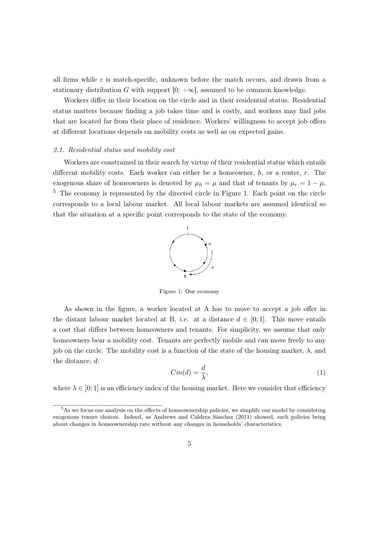all firms while  $\varepsilon$  is match-specific, unknown before the match occurs, and drawn from a stationary distribution G with support  $[0; +\infty]$ , assumed to be common knowledge.

Workers differ in their location on the circle and in their residential status. Residential status matters because finding a job takes time and is costly, and workers may find jobs that are located far from their place of residence. Workers' willingness to accept job offers at different locations depends on mobility costs as well as on expected gains.

# 2.1. Residential status and mobility cost

Workers are constrained in their search by virtue of their residential status which entails different mobility costs. Each worker can either be a homeowner,  $h$ , or a renter,  $r$ . The exogenous share of homeowners is denoted by  $\mu_h = \mu$  and that of tenants by  $\mu_r = 1 - \mu$ . <sup>5</sup> The economy is represented by the directed circle in Figure 1. Each point on the circle corresponds to a local labour market. All local labour markets are assumed identical so that the situation at a specific point corresponds to the state of the economy.



Figure 1: Our economy

As shown in the figure, a worker located at A has to move to accept a job offer in the distant labour market located at B, *i.e.* at a distance  $d \in [0,1]$ . This move entails a cost that differs between homeowners and tenants. For simplicity, we assume that only homeowners bear a mobility cost. Tenants are perfectly mobile and can move freely to any job on the circle. The mobility cost is a function of the state of the housing market,  $\lambda$ , and the distance, d:

$$
Cm(d) = \frac{d}{\lambda},\tag{1}
$$

where  $\lambda \in [0, 1]$  is an efficiency index of the housing market. Here we consider that efficiency

 $5$ As we focus our analysis on the effects of homeownership policies, we simplify our model by considering exogenous tenure choices. Indeed, as Andrews and Caldera Sànchez (2011) showed, such policies bring about changes in homeownership rate without any changes in households' characteristics.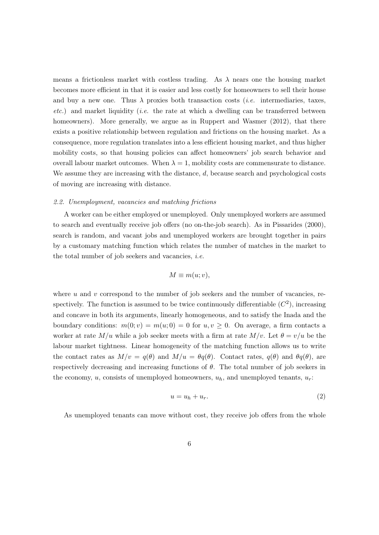means a frictionless market with costless trading. As  $\lambda$  nears one the housing market becomes more efficient in that it is easier and less costly for homeowners to sell their house and buy a new one. Thus  $\lambda$  proxies both transaction costs *(i.e.* intermediaries, taxes, etc.) and market liquidity (*i.e.* the rate at which a dwelling can be transferred between homeowners). More generally, we argue as in Ruppert and Wasmer (2012), that there exists a positive relationship between regulation and frictions on the housing market. As a consequence, more regulation translates into a less efficient housing market, and thus higher mobility costs, so that housing policies can affect homeowners' job search behavior and overall labour market outcomes. When  $\lambda = 1$ , mobility costs are commensurate to distance. We assume they are increasing with the distance,  $d$ , because search and psychological costs of moving are increasing with distance.

#### 2.2. Unemployment, vacancies and matching frictions

A worker can be either employed or unemployed. Only unemployed workers are assumed to search and eventually receive job offers (no on-the-job search). As in Pissarides (2000), search is random, and vacant jobs and unemployed workers are brought together in pairs by a customary matching function which relates the number of matches in the market to the total number of job seekers and vacancies, i.e.

$$
M \equiv m(u; v),
$$

where  $u$  and  $v$  correspond to the number of job seekers and the number of vacancies, respectively. The function is assumed to be twice continuously differentiable  $(C<sup>2</sup>)$ , increasing and concave in both its arguments, linearly homogeneous, and to satisfy the Inada and the boundary conditions:  $m(0; v) = m(u; 0) = 0$  for  $u, v \ge 0$ . On average, a firm contacts a worker at rate  $M/u$  while a job seeker meets with a firm at rate  $M/v$ . Let  $\theta = v/u$  be the labour market tightness. Linear homogeneity of the matching function allows us to write the contact rates as  $M/v = q(\theta)$  and  $M/u = \theta q(\theta)$ . Contact rates,  $q(\theta)$  and  $\theta q(\theta)$ , are respectively decreasing and increasing functions of  $\theta$ . The total number of job seekers in the economy, u, consists of unemployed homeowners,  $u_h$ , and unemployed tenants,  $u_r$ :

$$
u = u_h + u_r. \tag{2}
$$

As unemployed tenants can move without cost, they receive job offers from the whole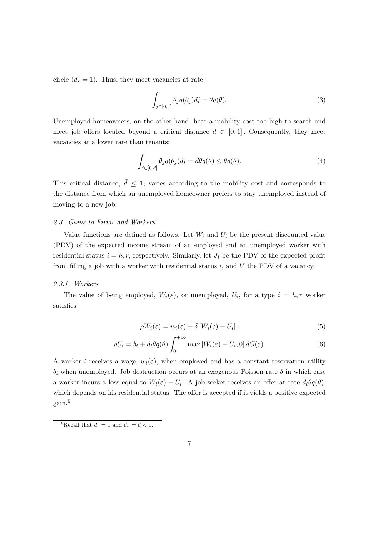circle  $(d_r = 1)$ . Thus, they meet vacancies at rate:

$$
\int_{j\in[0,1]} \theta_j q(\theta_j) dj = \theta q(\theta).
$$
\n(3)

Unemployed homeowners, on the other hand, bear a mobility cost too high to search and meet job offers located beyond a critical distance  $\bar{d} \in [0,1]$ . Consequently, they meet vacancies at a lower rate than tenants:

$$
\int_{j\in[0,\bar{d}]} \theta_j q(\theta_j) dj = \bar{d}\theta q(\theta) \leq \theta q(\theta). \tag{4}
$$

This critical distance,  $\bar{d} \leq 1$ , varies according to the mobility cost and corresponds to the distance from which an unemployed homeowner prefers to stay unemployed instead of moving to a new job.

#### 2.3. Gains to Firms and Workers

Value functions are defined as follows. Let  $W_i$  and  $U_i$  be the present discounted value (PDV) of the expected income stream of an employed and an unemployed worker with residential status  $i = h, r$ , respectively. Similarly, let  $J_i$  be the PDV of the expected profit from filling a job with a worker with residential status  $i$ , and  $V$  the PDV of a vacancy.

#### 2.3.1. Workers

The value of being employed,  $W_i(\varepsilon)$ , or unemployed,  $U_i$ , for a type  $i = h, r$  worker satisfies

$$
\rho W_i(\varepsilon) = w_i(\varepsilon) - \delta \left[ W_i(\varepsilon) - U_i \right]. \tag{5}
$$

$$
\rho U_i = b_i + d_i \theta q(\theta) \int_0^{+\infty} \max \left[ W_i(\varepsilon) - U_i, 0 \right] dG(\varepsilon). \tag{6}
$$

A worker i receives a wage,  $w_i(\varepsilon)$ , when employed and has a constant reservation utility  $b_i$  when unemployed. Job destruction occurs at an exogenous Poisson rate  $\delta$  in which case a worker incurs a loss equal to  $W_i(\varepsilon) - U_i$ . A job seeker receives an offer at rate  $d_i \theta q(\theta)$ , which depends on his residential status. The offer is accepted if it yields a positive expected gain.<sup>6</sup>

<sup>&</sup>lt;sup>6</sup>Recall that  $d_r = 1$  and  $d_h = \overline{d} < 1$ .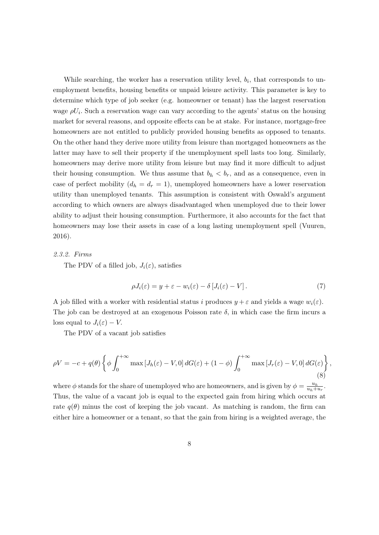While searching, the worker has a reservation utility level,  $b_i$ , that corresponds to unemployment benefits, housing benefits or unpaid leisure activity. This parameter is key to determine which type of job seeker (e.g. homeowner or tenant) has the largest reservation wage  $\rho U_i$ . Such a reservation wage can vary according to the agents' status on the housing market for several reasons, and opposite effects can be at stake. For instance, mortgage-free homeowners are not entitled to publicly provided housing benefits as opposed to tenants. On the other hand they derive more utility from leisure than mortgaged homeowners as the latter may have to sell their property if the unemployment spell lasts too long. Similarly, homeowners may derive more utility from leisure but may find it more difficult to adjust their housing consumption. We thus assume that  $b_h < b_r$ , and as a consequence, even in case of perfect mobility  $(d_h = d_r = 1)$ , unemployed homeowners have a lower reservation utility than unemployed tenants. This assumption is consistent with Oswald's argument according to which owners are always disadvantaged when unemployed due to their lower ability to adjust their housing consumption. Furthermore, it also accounts for the fact that homeowners may lose their assets in case of a long lasting unemployment spell (Vuuren, 2016).

# 2.3.2. Firms

The PDV of a filled job,  $J_i(\varepsilon)$ , satisfies

$$
\rho J_i(\varepsilon) = y + \varepsilon - w_i(\varepsilon) - \delta \left[ J_i(\varepsilon) - V \right]. \tag{7}
$$

A job filled with a worker with residential status i produces  $y + \varepsilon$  and yields a wage  $w_i(\varepsilon)$ . The job can be destroyed at an exogenous Poisson rate  $\delta$ , in which case the firm incurs a loss equal to  $J_i(\varepsilon) - V$ .

The PDV of a vacant job satisfies

$$
\rho V = -c + q(\theta) \left\{ \phi \int_0^{+\infty} \max \left[ J_h(\varepsilon) - V, 0 \right] dG(\varepsilon) + (1 - \phi) \int_0^{+\infty} \max \left[ J_r(\varepsilon) - V, 0 \right] dG(\varepsilon) \right\},\tag{8}
$$

where  $\phi$  stands for the share of unemployed who are homeowners, and is given by  $\phi = \frac{u_h}{u_h + u}$  $\frac{u_h}{u_h+u_r}$ . Thus, the value of a vacant job is equal to the expected gain from hiring which occurs at rate  $q(\theta)$  minus the cost of keeping the job vacant. As matching is random, the firm can either hire a homeowner or a tenant, so that the gain from hiring is a weighted average, the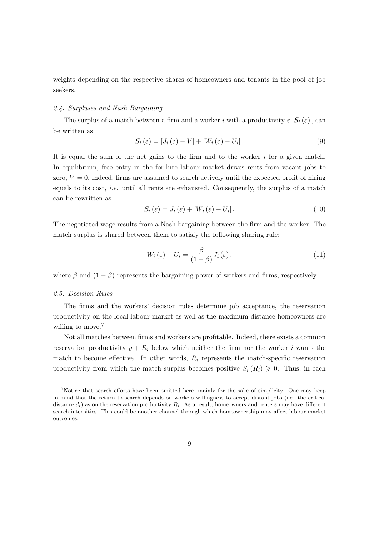weights depending on the respective shares of homeowners and tenants in the pool of job seekers.

# 2.4. Surpluses and Nash Bargaining

The surplus of a match between a firm and a worker i with a productivity  $\varepsilon$ ,  $S_i(\varepsilon)$ , can be written as

$$
S_i(\varepsilon) = [J_i(\varepsilon) - V] + [W_i(\varepsilon) - U_i]. \tag{9}
$$

It is equal the sum of the net gains to the firm and to the worker  $i$  for a given match. In equilibrium, free entry in the for-hire labour market drives rents from vacant jobs to zero,  $V = 0$ . Indeed, firms are assumed to search actively until the expected profit of hiring equals to its cost, *i.e.* until all rents are exhausted. Consequently, the surplus of a match can be rewritten as

$$
S_i(\varepsilon) = J_i(\varepsilon) + [W_i(\varepsilon) - U_i]. \tag{10}
$$

The negotiated wage results from a Nash bargaining between the firm and the worker. The match surplus is shared between them to satisfy the following sharing rule:

$$
W_i(\varepsilon) - U_i = \frac{\beta}{(1-\beta)} J_i(\varepsilon), \qquad (11)
$$

where  $\beta$  and  $(1 - \beta)$  represents the bargaining power of workers and firms, respectively.

#### 2.5. Decision Rules

The firms and the workers' decision rules determine job acceptance, the reservation productivity on the local labour market as well as the maximum distance homeowners are willing to move.<sup>7</sup>

Not all matches between firms and workers are profitable. Indeed, there exists a common reservation productivity  $y + R_i$  below which neither the firm nor the worker i wants the match to become effective. In other words,  $R_i$  represents the match-specific reservation productivity from which the match surplus becomes positive  $S_i(R_i) \geq 0$ . Thus, in each

<sup>&</sup>lt;sup>7</sup>Notice that search efforts have been omitted here, mainly for the sake of simplicity. One may keep in mind that the return to search depends on workers willingness to accept distant jobs (i.e. the critical distance  $d_i$ ) as on the reservation productivity  $R_i$ . As a result, homeowners and renters may have different search intensities. This could be another channel through which homeownership may affect labour market outcomes.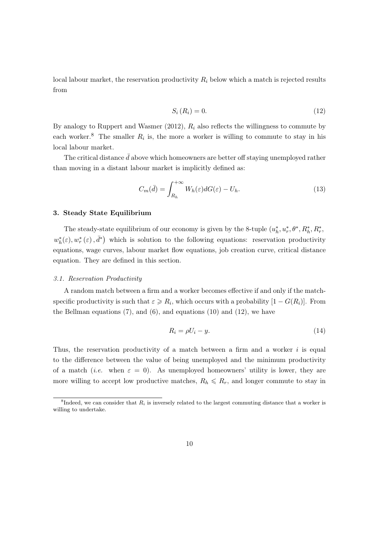local labour market, the reservation productivity  $R_i$  below which a match is rejected results from

$$
S_i(R_i) = 0.\t\t(12)
$$

By analogy to Ruppert and Wasmer  $(2012)$ ,  $R_i$  also reflects the willingness to commute by each worker.<sup>8</sup> The smaller  $R_i$  is, the more a worker is willing to commute to stay in his local labour market.

The critical distance  $\bar{d}$  above which homeowners are better off staying unemployed rather than moving in a distant labour market is implicitly defined as:

$$
C_m(\bar{d}) = \int_{R_h}^{+\infty} W_h(\varepsilon) dG(\varepsilon) - U_h.
$$
\n(13)

#### 3. Steady State Equilibrium

The steady-state equilibrium of our economy is given by the 8-tuple  $(u_h^*, u_r^*, \theta^*, R_h^*, R_r^*,$  $w_h^*(\varepsilon), w_r^*(\varepsilon), \bar{d}^*$  which is solution to the following equations: reservation productivity equations, wage curves, labour market flow equations, job creation curve, critical distance equation. They are defined in this section.

#### 3.1. Reservation Productivity

A random match between a firm and a worker becomes effective if and only if the matchspecific productivity is such that  $\varepsilon \ge R_i$ , which occurs with a probability  $[1 - G(R_i)]$ . From the Bellman equations  $(7)$ , and  $(6)$ , and equations  $(10)$  and  $(12)$ , we have

$$
R_i = \rho U_i - y. \tag{14}
$$

Thus, the reservation productivity of a match between a firm and a worker  $i$  is equal to the difference between the value of being unemployed and the minimum productivity of a match (*i.e.* when  $\varepsilon = 0$ ). As unemployed homeowners' utility is lower, they are more willing to accept low productive matches,  $R_h \leq R_r$ , and longer commute to stay in

<sup>&</sup>lt;sup>8</sup>Indeed, we can consider that  $R_i$  is inversely related to the largest commuting distance that a worker is willing to undertake.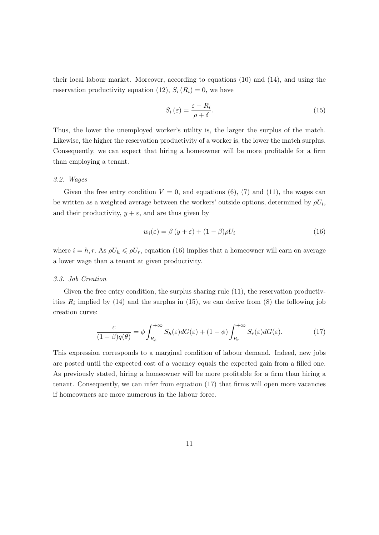their local labour market. Moreover, according to equations (10) and (14), and using the reservation productivity equation (12),  $S_i(R_i) = 0$ , we have

$$
S_i(\varepsilon) = \frac{\varepsilon - R_i}{\rho + \delta}.
$$
\n(15)

Thus, the lower the unemployed worker's utility is, the larger the surplus of the match. Likewise, the higher the reservation productivity of a worker is, the lower the match surplus. Consequently, we can expect that hiring a homeowner will be more profitable for a firm than employing a tenant.

#### 3.2. Wages

Given the free entry condition  $V = 0$ , and equations (6), (7) and (11), the wages can be written as a weighted average between the workers' outside options, determined by  $\rho U_i$ , and their productivity,  $y + \varepsilon$ , and are thus given by

$$
w_i(\varepsilon) = \beta (y + \varepsilon) + (1 - \beta)\rho U_i \tag{16}
$$

where  $i = h, r$ . As  $\rho U_h \leq \rho U_r$ , equation (16) implies that a homeowner will earn on average a lower wage than a tenant at given productivity.

#### 3.3. Job Creation

Given the free entry condition, the surplus sharing rule  $(11)$ , the reservation productivities  $R_i$  implied by (14) and the surplus in (15), we can derive from (8) the following job creation curve:

$$
\frac{c}{(1-\beta)q(\theta)} = \phi \int_{R_h}^{+\infty} S_h(\varepsilon) dG(\varepsilon) + (1-\phi) \int_{R_r}^{+\infty} S_r(\varepsilon) dG(\varepsilon).
$$
 (17)

This expression corresponds to a marginal condition of labour demand. Indeed, new jobs are posted until the expected cost of a vacancy equals the expected gain from a filled one. As previously stated, hiring a homeowner will be more profitable for a firm than hiring a tenant. Consequently, we can infer from equation (17) that firms will open more vacancies if homeowners are more numerous in the labour force.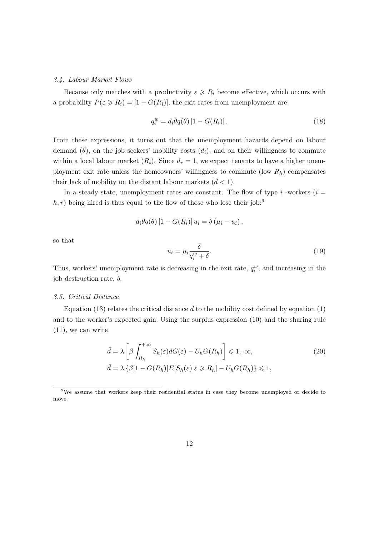#### 3.4. Labour Market Flows

Because only matches with a productivity  $\varepsilon \ge R_i$  become effective, which occurs with a probability  $P(\varepsilon \ge R_i) = [1 - G(R_i)],$  the exit rates from unemployment are

$$
q_i^w = d_i \theta q(\theta) \left[ 1 - G(R_i) \right]. \tag{18}
$$

From these expressions, it turns out that the unemployment hazards depend on labour demand  $(\theta)$ , on the job seekers' mobility costs  $(d_i)$ , and on their willingness to commute within a local labour market  $(R_i)$ . Since  $d_r = 1$ , we expect tenants to have a higher unemployment exit rate unless the homeowners' willingness to commute (low  $R_h$ ) compensates their lack of mobility on the distant labour markets  $(\bar{d} < 1)$ .

In a steady state, unemployment rates are constant. The flow of type  $i$  -workers  $(i =$  $h, r$ ) being hired is thus equal to the flow of those who lose their job:<sup>9</sup>

$$
d_i\theta q(\theta) [1 - G(R_i)] u_i = \delta(\mu_i - u_i),
$$

so that

$$
u_i = \mu_i \frac{\delta}{q_i^w + \delta}.\tag{19}
$$

Thus, workers' unemployment rate is decreasing in the exit rate,  $q_i^w$ , and increasing in the job destruction rate,  $\delta$ .

# 3.5. Critical Distance

Equation (13) relates the critical distance  $\bar{d}$  to the mobility cost defined by equation (1) and to the worker's expected gain. Using the surplus expression (10) and the sharing rule (11), we can write

$$
\bar{d} = \lambda \left[ \beta \int_{R_h}^{+\infty} S_h(\varepsilon) dG(\varepsilon) - U_h G(R_h) \right] \leq 1, \text{ or,}
$$
\n
$$
\bar{d} = \lambda \left\{ \beta [1 - G(R_h)] E[S_h(\varepsilon)] \varepsilon \geq R_h \right\} - U_h G(R_h) \leq 1,
$$
\n(20)

<sup>&</sup>lt;sup>9</sup>We assume that workers keep their residential status in case they become unemployed or decide to move.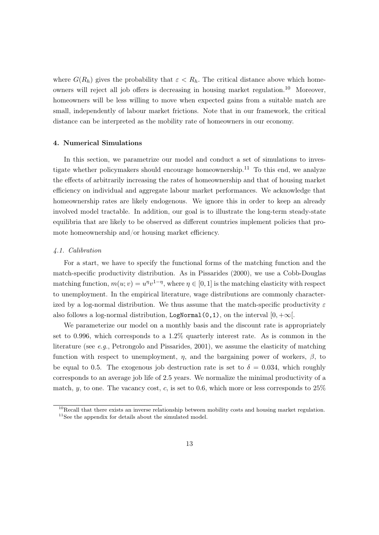where  $G(R_h)$  gives the probability that  $\varepsilon < R_h$ . The critical distance above which homeowners will reject all job offers is decreasing in housing market regulation.<sup>10</sup> Moreover, homeowners will be less willing to move when expected gains from a suitable match are small, independently of labour market frictions. Note that in our framework, the critical distance can be interpreted as the mobility rate of homeowners in our economy.

# 4. Numerical Simulations

In this section, we parametrize our model and conduct a set of simulations to investigate whether policymakers should encourage homeownership.<sup>11</sup> To this end, we analyze the effects of arbitrarily increasing the rates of homeownership and that of housing market efficiency on individual and aggregate labour market performances. We acknowledge that homeownership rates are likely endogenous. We ignore this in order to keep an already involved model tractable. In addition, our goal is to illustrate the long-term steady-state equilibria that are likely to be observed as different countries implement policies that promote homeownership and/or housing market efficiency.

#### 4.1. Calibration

For a start, we have to specify the functional forms of the matching function and the match-specific productivity distribution. As in Pissarides (2000), we use a Cobb-Douglas matching function,  $m(u; v) = u^{\eta}v^{1-\eta}$ , where  $\eta \in [0, 1]$  is the matching elasticity with respect to unemployment. In the empirical literature, wage distributions are commonly characterized by a log-normal distribution. We thus assume that the match-specific productivity  $\varepsilon$ also follows a log-normal distribution, LogNormal(0,1), on the interval  $[0, +\infty]$ .

We parameterize our model on a monthly basis and the discount rate is appropriately set to 0.996, which corresponds to a 1.2% quarterly interest rate. As is common in the literature (see e.g., Petrongolo and Pissarides, 2001), we assume the elasticity of matching function with respect to unemployment,  $\eta$ , and the bargaining power of workers,  $\beta$ , to be equal to 0.5. The exogenous job destruction rate is set to  $\delta = 0.034$ , which roughly corresponds to an average job life of 2.5 years. We normalize the minimal productivity of a match,  $y$ , to one. The vacancy cost, c, is set to 0.6, which more or less corresponds to  $25\%$ 

 $10$ Recall that there exists an inverse relationship between mobility costs and housing market regulation.  $11$ See the appendix for details about the simulated model.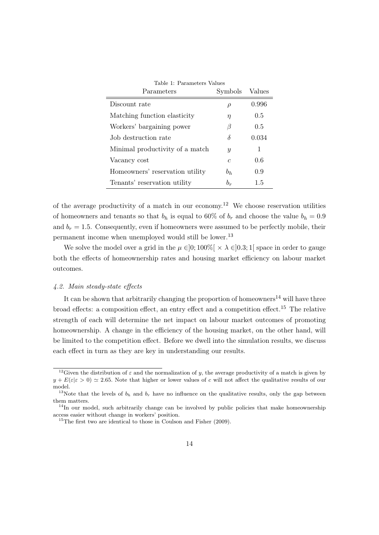| Parameters                      | Symbols       | Values |
|---------------------------------|---------------|--------|
| Discount rate                   | $\rho$        | 0.996  |
| Matching function elasticity    | $\eta$        | 0.5    |
| Workers' bargaining power       | B             | 0.5    |
| Job destruction rate            | δ             | 0.034  |
| Minimal productivity of a match | $\mathcal{Y}$ | 1      |
| Vacancy cost                    | $\epsilon$    | 0.6    |
| Homeowners' reservation utility | $b_h$         | 0.9    |
| Tenants' reservation utility    | $b_r$         | 1.5    |

of the average productivity of a match in our economy.<sup>12</sup> We choose reservation utilities of homeowners and tenants so that  $b_h$  is equal to 60% of  $b_r$  and choose the value  $b_h = 0.9$ and  $b_r = 1.5$ . Consequently, even if homeowners were assumed to be perfectly mobile, their permanent income when unemployed would still be lower.<sup>13</sup>

We solve the model over a grid in the  $\mu \in ]0;100\%[ \times \lambda \in ]0.3;1[$  space in order to gauge both the effects of homeownership rates and housing market efficiency on labour market outcomes.

#### 4.2. Main steady-state effects

It can be shown that arbitrarily changing the proportion of homeowners<sup>14</sup> will have three broad effects: a composition effect, an entry effect and a competition effect.<sup>15</sup> The relative strength of each will determine the net impact on labour market outcomes of promoting homeownership. A change in the efficiency of the housing market, on the other hand, will be limited to the competition effect. Before we dwell into the simulation results, we discuss each effect in turn as they are key in understanding our results.

<sup>&</sup>lt;sup>12</sup>Given the distribution of  $\varepsilon$  and the normalization of y, the average productivity of a match is given by  $y + E(\varepsilon | \varepsilon > 0) \approx 2.65$ . Note that higher or lower values of c will not affect the qualitative results of our model.

<sup>&</sup>lt;sup>13</sup>Note that the levels of  $b_h$  and  $b_r$  have no influence on the qualitative results, only the gap between them matters.

 $14$ In our model, such arbitrarily change can be involved by public policies that make homeownership access easier without change in workers' position.

 $15$ The first two are identical to those in Coulson and Fisher (2009).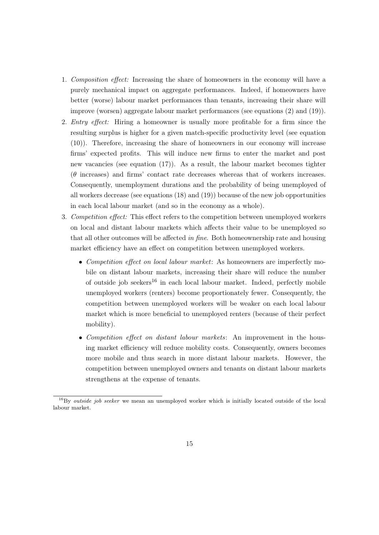- 1. Composition effect: Increasing the share of homeowners in the economy will have a purely mechanical impact on aggregate performances. Indeed, if homeowners have better (worse) labour market performances than tenants, increasing their share will improve (worsen) aggregate labour market performances (see equations (2) and (19)).
- 2. Entry effect: Hiring a homeowner is usually more profitable for a firm since the resulting surplus is higher for a given match-specific productivity level (see equation (10)). Therefore, increasing the share of homeowners in our economy will increase firms' expected profits. This will induce new firms to enter the market and post new vacancies (see equation (17)). As a result, the labour market becomes tighter (θ increases) and firms' contact rate decreases whereas that of workers increases. Consequently, unemployment durations and the probability of being unemployed of all workers decrease (see equations (18) and (19)) because of the new job opportunities in each local labour market (and so in the economy as a whole).
- 3. Competition effect: This effect refers to the competition between unemployed workers on local and distant labour markets which affects their value to be unemployed so that all other outcomes will be affected in fine. Both homeownership rate and housing market efficiency have an effect on competition between unemployed workers.
	- Competition effect on local labour market: As homeowners are imperfectly mobile on distant labour markets, increasing their share will reduce the number of outside job seekers<sup>16</sup> in each local labour market. Indeed, perfectly mobile unemployed workers (renters) become proportionately fewer. Consequently, the competition between unemployed workers will be weaker on each local labour market which is more beneficial to unemployed renters (because of their perfect mobility).
	- Competition effect on distant labour markets: An improvement in the housing market efficiency will reduce mobility costs. Consequently, owners becomes more mobile and thus search in more distant labour markets. However, the competition between unemployed owners and tenants on distant labour markets strengthens at the expense of tenants.

 $16By$  *outside job seeker* we mean an unemployed worker which is initially located outside of the local labour market.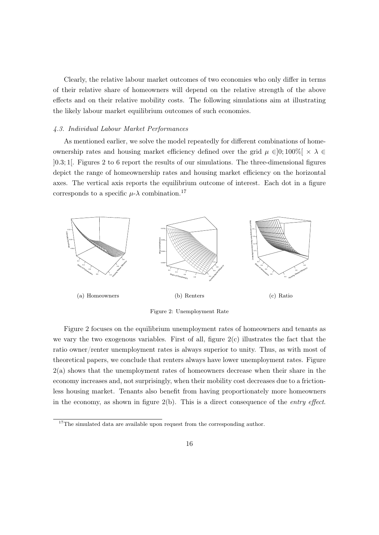Clearly, the relative labour market outcomes of two economies who only differ in terms of their relative share of homeowners will depend on the relative strength of the above effects and on their relative mobility costs. The following simulations aim at illustrating the likely labour market equilibrium outcomes of such economies.

# 4.3. Individual Labour Market Performances

As mentioned earlier, we solve the model repeatedly for different combinations of homeownership rates and housing market efficiency defined over the grid  $\mu \in ]0;100\%] \times \lambda \in$ ]0.3; 1[. Figures 2 to 6 report the results of our simulations. The three-dimensional figures depict the range of homeownership rates and housing market efficiency on the horizontal axes. The vertical axis reports the equilibrium outcome of interest. Each dot in a figure corresponds to a specific  $\mu$ - $\lambda$  combination.<sup>17</sup>



Figure 2: Unemployment Rate

Figure 2 focuses on the equilibrium unemployment rates of homeowners and tenants as we vary the two exogenous variables. First of all, figure  $2(c)$  illustrates the fact that the ratio owner/renter unemployment rates is always superior to unity. Thus, as with most of theoretical papers, we conclude that renters always have lower unemployment rates. Figure 2(a) shows that the unemployment rates of homeowners decrease when their share in the economy increases and, not surprisingly, when their mobility cost decreases due to a frictionless housing market. Tenants also benefit from having proportionately more homeowners in the economy, as shown in figure  $2(b)$ . This is a direct consequence of the *entry effect*.

 $^{17}\mathrm{The}$  simulated data are available upon request from the corresponding author.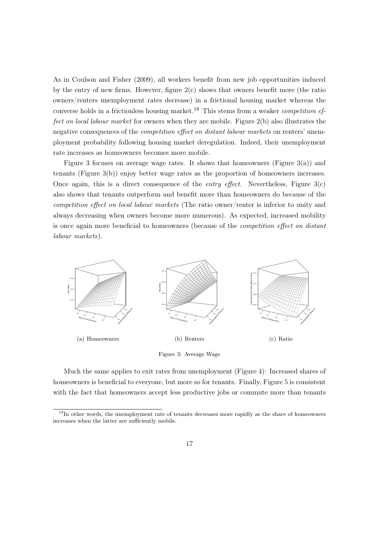As in Coulson and Fisher (2009), all workers benefit from new job opportunities induced by the entry of new firms. However, figure 2(c) shows that owners benefit more (the ratio owners/renters unemployment rates decrease) in a frictional housing market whereas the converse holds in a frictionless housing market.<sup>18</sup> This stems from a weaker *competition ef*fect on local labour market for owners when they are mobile. Figure 2(b) also illustrates the negative consequences of the *competition effect on distant labour markets* on renters' unemployment probability following housing market deregulation. Indeed, their unemployment rate increases as homeowners becomes more mobile.

Figure 3 focuses on average wage rates. It shows that homeowners (Figure 3(a)) and tenants (Figure 3(b)) enjoy better wage rates as the proportion of homeowners increases. Once again, this is a direct consequence of the *entry effect*. Nevertheless, Figure  $3(c)$ also shows that tenants outperform and benefit more than homeowners do because of the competition effect on local labour markets (The ratio owner/renter is inferior to unity and always decreasing when owners become more numerous). As expected, increased mobility is once again more beneficial to homeowners (because of the competition effect on distant labour markets).



Much the same applies to exit rates from unemployment (Figure 4): Increased shares of homeowners is beneficial to everyone, but more so for tenants. Finally, Figure 5 is consistent with the fact that homeowners accept less productive jobs or commute more than tenants

<sup>&</sup>lt;sup>18</sup>In other words, the unemployment rate of tenants decreases more rapidly as the share of homeowners increases when the latter are sufficiently mobile.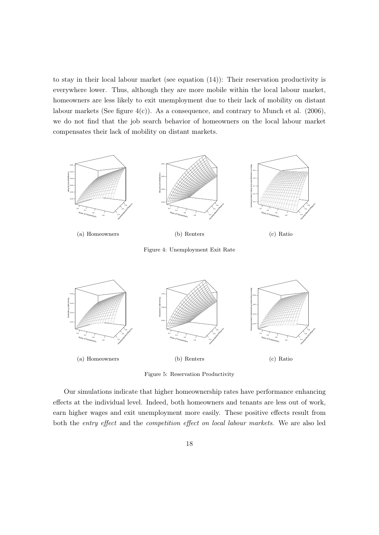to stay in their local labour market (see equation (14)): Their reservation productivity is everywhere lower. Thus, although they are more mobile within the local labour market, homeowners are less likely to exit unemployment due to their lack of mobility on distant labour markets (See figure  $4(c)$ ). As a consequence, and contrary to Munch et al. (2006), we do not find that the job search behavior of homeowners on the local labour market compensates their lack of mobility on distant markets.





Figure 5: Reservation Productivity

Our simulations indicate that higher homeownership rates have performance enhancing effects at the individual level. Indeed, both homeowners and tenants are less out of work, earn higher wages and exit unemployment more easily. These positive effects result from both the entry effect and the competition effect on local labour markets. We are also led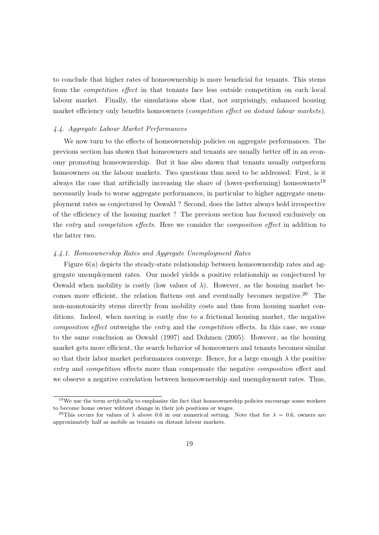to conclude that higher rates of homeownership is more beneficial for tenants. This stems from the competition effect in that tenants face less outside competition on each local labour market. Finally, the simulations show that, not surprisingly, enhanced housing market efficiency only benefits homeowners (*competition effect on distant labour markets*).

# 4.4. Aggregate Labour Market Performances

We now turn to the effects of homeownership policies on aggregate performances. The previous section has shown that homeowners and tenants are usually better off in an economy promoting homeownership. But it has also shown that tenants usually outperform homeowners on the labour markets. Two questions thus need to be addressed: First, is it always the case that artificially increasing the share of (lower-performing) homeowners<sup>19</sup> necessarily leads to worse aggregate performances, in particular to higher aggregate unemployment rates as conjectured by Oswald ? Second, does the latter always hold irrespective of the efficiency of the housing market ? The previous section has focused exclusively on the entry and competition effects. Here we consider the composition effect in addition to the latter two.

# 4.4.1. Homeownership Rates and Aggregate Unemployment Rates

Figure 6(a) depicts the steady-state relationship between homeownership rates and aggregate unemployment rates. Our model yields a positive relationship as conjectured by Oswald when mobility is costly (low values of  $\lambda$ ). However, as the housing market becomes more efficient, the relation flattens out and eventually becomes negative.<sup>20</sup> The non-monotonicity stems directly from mobility costs and thus from housing market conditions. Indeed, when moving is costly due to a frictional housing market, the negative composition effect outweighs the entry and the competition effects. In this case, we come to the same conclusion as Oswald (1997) and Dohmen (2005). However, as the housing market gets more efficient, the search behavior of homeowners and tenants becomes similar so that their labor market performances converge. Hence, for a large enough  $\lambda$  the positive entry and competition effects more than compensate the negative composition effect and we observe a negative correlation between homeownership and unemployment rates. Thus,

<sup>&</sup>lt;sup>19</sup>We use the term *artificially* to emphasize the fact that homeownership policies encourage some workers to become home owner wihtout change in their job positions or wages.

<sup>&</sup>lt;sup>20</sup>This occurs for values of  $\lambda$  above 0.6 in our numerical setting. Note that for  $\lambda = 0.6$ , owners are approximately half as mobile as tenants on distant labour markets.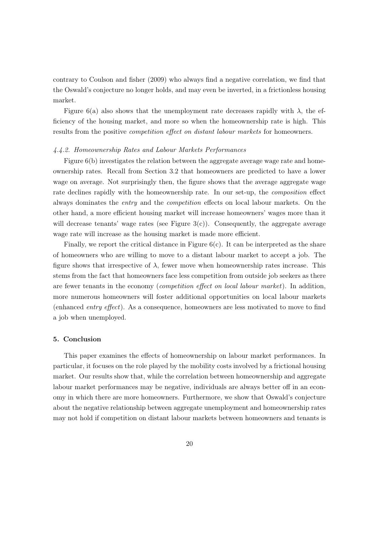contrary to Coulson and fisher (2009) who always find a negative correlation, we find that the Oswald's conjecture no longer holds, and may even be inverted, in a frictionless housing market.

Figure 6(a) also shows that the unemployment rate decreases rapidly with  $\lambda$ , the efficiency of the housing market, and more so when the homeownership rate is high. This results from the positive *competition effect on distant labour markets* for homeowners.

# 4.4.2. Homeownership Rates and Labour Markets Performances

Figure 6(b) investigates the relation between the aggregate average wage rate and homeownership rates. Recall from Section 3.2 that homeowners are predicted to have a lower wage on average. Not surprisingly then, the figure shows that the average aggregate wage rate declines rapidly with the homeownership rate. In our set-up, the composition effect always dominates the entry and the competition effects on local labour markets. On the other hand, a more efficient housing market will increase homeowners' wages more than it will decrease tenants' wage rates (see Figure  $3(c)$ ). Consequently, the aggregate average wage rate will increase as the housing market is made more efficient.

Finally, we report the critical distance in Figure  $6(c)$ . It can be interpreted as the share of homeowners who are willing to move to a distant labour market to accept a job. The figure shows that irrespective of  $\lambda$ , fewer move when homeownership rates increase. This stems from the fact that homeowners face less competition from outside job seekers as there are fewer tenants in the economy (competition effect on local labour market). In addition, more numerous homeowners will foster additional opportunities on local labour markets (enhanced entry effect). As a consequence, homeowners are less motivated to move to find a job when unemployed.

# 5. Conclusion

This paper examines the effects of homeownership on labour market performances. In particular, it focuses on the role played by the mobility costs involved by a frictional housing market. Our results show that, while the correlation between homeownership and aggregate labour market performances may be negative, individuals are always better off in an economy in which there are more homeowners. Furthermore, we show that Oswald's conjecture about the negative relationship between aggregate unemployment and homeownership rates may not hold if competition on distant labour markets between homeowners and tenants is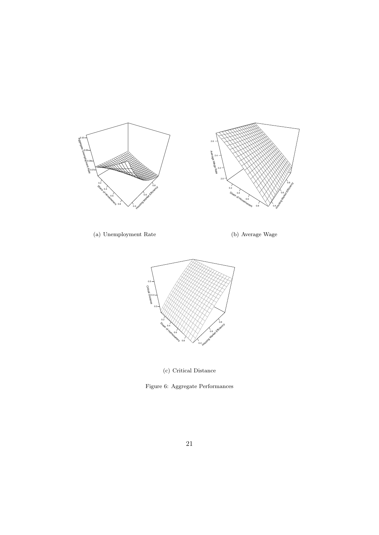

(a) Unemployment Rate

(b) Average Wage



(c) Critical Distance

Figure 6: Aggregate Performances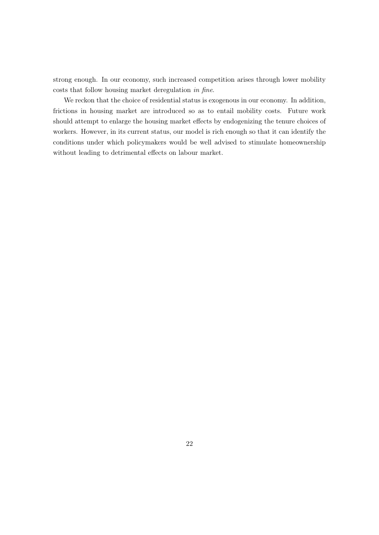strong enough. In our economy, such increased competition arises through lower mobility costs that follow housing market deregulation in fine.

We reckon that the choice of residential status is exogenous in our economy. In addition, frictions in housing market are introduced so as to entail mobility costs. Future work should attempt to enlarge the housing market effects by endogenizing the tenure choices of workers. However, in its current status, our model is rich enough so that it can identify the conditions under which policymakers would be well advised to stimulate homeownership without leading to detrimental effects on labour market.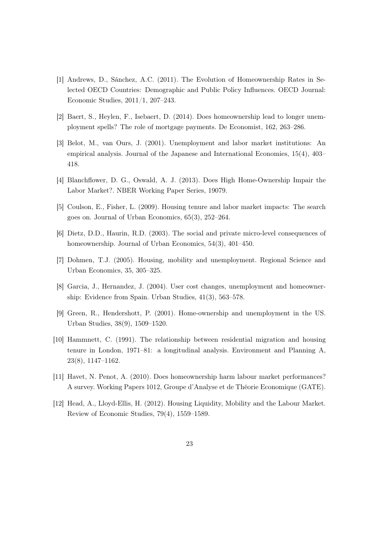- [1] Andrews, D., Sánchez, A.C. (2011). The Evolution of Homeownership Rates in Selected OECD Countries: Demographic and Public Policy Influences. OECD Journal: Economic Studies, 2011/1, 207–243.
- [2] Baert, S., Heylen, F., Isebaert, D. (2014). Does homeownership lead to longer unemployment spells? The role of mortgage payments. De Economist, 162, 263–286.
- [3] Belot, M., van Ours, J. (2001). Unemployment and labor market institutions: An empirical analysis. Journal of the Japanese and International Economies, 15(4), 403– 418.
- [4] Blanchflower, D. G., Oswald, A. J. (2013). Does High Home-Ownership Impair the Labor Market?. NBER Working Paper Series, 19079.
- [5] Coulson, E., Fisher, L. (2009). Housing tenure and labor market impacts: The search goes on. Journal of Urban Economics, 65(3), 252–264.
- [6] Dietz, D.D., Haurin, R.D. (2003). The social and private micro-level consequences of homeownership. Journal of Urban Economics, 54(3), 401–450.
- [7] Dohmen, T.J. (2005). Housing, mobility and unemployment. Regional Science and Urban Economics, 35, 305–325.
- [8] Garcia, J., Hernandez, J. (2004). User cost changes, unemployment and homeownership: Evidence from Spain. Urban Studies, 41(3), 563–578.
- [9] Green, R., Hendershott, P. (2001). Home-ownership and unemployment in the US. Urban Studies, 38(9), 1509–1520.
- [10] Hammnett, C. (1991). The relationship between residential migration and housing tenure in London, 1971–81: a longitudinal analysis. Environment and Planning A, 23(8), 1147–1162.
- [11] Havet, N. Penot, A. (2010). Does homeownership harm labour market performances? A survey. Working Papers 1012, Groupe d'Analyse et de Théorie Economique (GATE).
- [12] Head, A., Lloyd-Ellis, H. (2012). Housing Liquidity, Mobility and the Labour Market. Review of Economic Studies, 79(4), 1559–1589.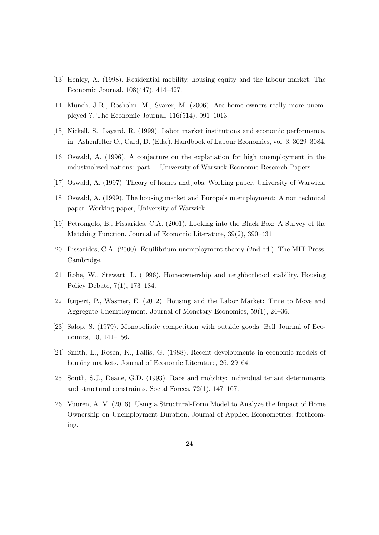- [13] Henley, A. (1998). Residential mobility, housing equity and the labour market. The Economic Journal, 108(447), 414–427.
- [14] Munch, J-R., Rosholm, M., Svarer, M. (2006). Are home owners really more unemployed ?. The Economic Journal, 116(514), 991–1013.
- [15] Nickell, S., Layard, R. (1999). Labor market institutions and economic performance, in: Ashenfelter O., Card, D. (Eds.). Handbook of Labour Economics, vol. 3, 3029–3084.
- [16] Oswald, A. (1996). A conjecture on the explanation for high unemployment in the industrialized nations: part 1. University of Warwick Economic Research Papers.
- [17] Oswald, A. (1997). Theory of homes and jobs. Working paper, University of Warwick.
- [18] Oswald, A. (1999). The housing market and Europe's unemployment: A non technical paper. Working paper, University of Warwick.
- [19] Petrongolo, B., Pissarides, C.A. (2001). Looking into the Black Box: A Survey of the Matching Function. Journal of Economic Literature, 39(2), 390–431.
- [20] Pissarides, C.A. (2000). Equilibrium unemployment theory (2nd ed.). The MIT Press, Cambridge.
- [21] Rohe, W., Stewart, L. (1996). Homeownership and neighborhood stability. Housing Policy Debate, 7(1), 173–184.
- [22] Rupert, P., Wasmer, E. (2012). Housing and the Labor Market: Time to Move and Aggregate Unemployment. Journal of Monetary Economics, 59(1), 24–36.
- [23] Salop, S. (1979). Monopolistic competition with outside goods. Bell Journal of Economics, 10, 141–156.
- [24] Smith, L., Rosen, K., Fallis, G. (1988). Recent developments in economic models of housing markets. Journal of Economic Literature, 26, 29–64.
- [25] South, S.J., Deane, G.D. (1993). Race and mobility: individual tenant determinants and structural constraints. Social Forces, 72(1), 147–167.
- [26] Vuuren, A. V. (2016). Using a Structural-Form Model to Analyze the Impact of Home Ownership on Unemployment Duration. Journal of Applied Econometrics, forthcoming.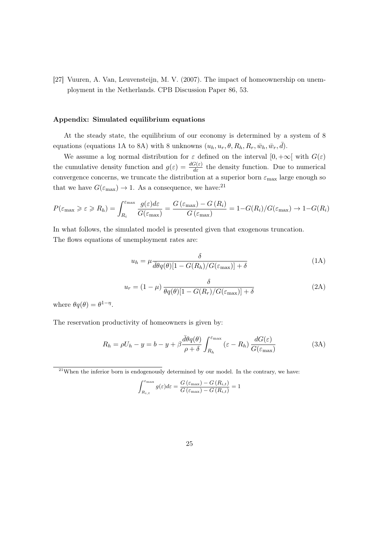[27] Vuuren, A. Van, Leuvensteijn, M. V. (2007). The impact of homeownership on unemployment in the Netherlands. CPB Discussion Paper 86, 53.

#### Appendix: Simulated equilibrium equations

At the steady state, the equilibrium of our economy is determined by a system of 8 equations (equations 1A to 8A) with 8 unknowns  $(u_h, u_r, \theta, R_h, R_r, \bar{w}_h, \bar{w}_r, \bar{d})$ .

We assume a log normal distribution for  $\varepsilon$  defined on the interval  $[0, +\infty[$  with  $G(\varepsilon)$ the cumulative density function and  $g(\varepsilon) = \frac{dG(\varepsilon)}{d\varepsilon}$  the density function. Due to numerical convergence concerns, we truncate the distribution at a superior born  $\varepsilon_{\text{max}}$  large enough so that we have  $G(\varepsilon_{\text{max}}) \to 1$ . As a consequence, we have:<sup>21</sup>

$$
P(\varepsilon_{\max} \geqslant \varepsilon \geqslant R_h) = \int_{R_i}^{\varepsilon_{\max}} \frac{g(\varepsilon) d\varepsilon}{G(\varepsilon_{\max})} = \frac{G(\varepsilon_{\max}) - G(R_i)}{G(\varepsilon_{\max})} = 1 - G(R_i)/G(\varepsilon_{\max}) \to 1 - G(R_i)
$$

In what follows, the simulated model is presented given that exogenous truncation. The flows equations of unemployment rates are:

$$
u_h = \mu \frac{\delta}{\bar{d}\theta q(\theta)[1 - G(R_h)/G(\varepsilon_{\text{max}})] + \delta} \tag{1A}
$$

$$
u_r = (1 - \mu) \frac{\delta}{\theta q(\theta) [1 - G(R_r)/G(\varepsilon_{\text{max}})] + \delta} \tag{2A}
$$

where  $\theta q(\theta) = \theta^{1-\eta}$ .

The reservation productivity of homeowners is given by:

$$
R_h = \rho U_h - y = b - y + \beta \frac{\bar{d}\theta q(\theta)}{\rho + \delta} \int_{R_h}^{\varepsilon_{\text{max}}} (\varepsilon - R_h) \frac{dG(\varepsilon)}{G(\varepsilon_{\text{max}})}
$$
(3A)

 $21$ When the inferior born is endogenously determined by our model. In the contrary, we have:

$$
\int_{R_{i,t}}^{\varepsilon_{\text{max}}} g(\varepsilon) d\varepsilon = \frac{G(\varepsilon_{\text{max}}) - G(R_{i,t})}{G(\varepsilon_{\text{max}}) - G(R_{i,t})} = 1
$$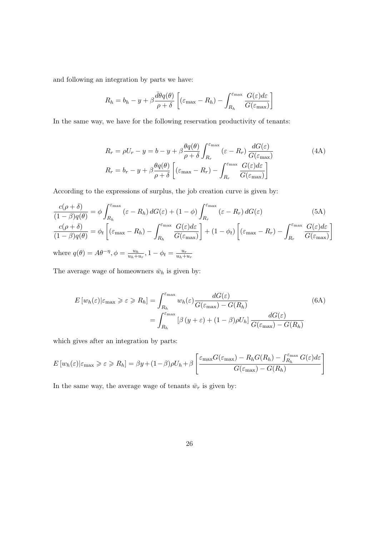and following an integration by parts we have:

$$
R_h = b_h - y + \beta \frac{\bar{d}\theta q(\theta)}{\rho + \delta} \left[ (\varepsilon_{\text{max}} - R_h) - \int_{R_h}^{\varepsilon_{\text{max}}} \frac{G(\varepsilon) d\varepsilon}{G(\varepsilon_{\text{max}})} \right]
$$

In the same way, we have for the following reservation productivity of tenants:

$$
R_r = \rho U_r - y = b - y + \beta \frac{\theta q(\theta)}{\rho + \delta} \int_{R_r}^{\varepsilon_{\text{max}}} (\varepsilon - R_r) \frac{dG(\varepsilon)}{G(\varepsilon_{\text{max}})}
$$
(4A)  

$$
R_r = b_r - y + \beta \frac{\theta q(\theta)}{\rho + \delta} \left[ (\varepsilon_{\text{max}} - R_r) - \int_{R_r}^{\varepsilon_{\text{max}}} \frac{G(\varepsilon) d\varepsilon}{G(\varepsilon_{\text{max}})} \right]
$$

According to the expressions of surplus, the job creation curve is given by:

$$
\frac{c(\rho + \delta)}{(1 - \beta)q(\theta)} = \phi \int_{R_h}^{\varepsilon_{\text{max}}} (\varepsilon - R_h) dG(\varepsilon) + (1 - \phi) \int_{R_r}^{\varepsilon_{\text{max}}} (\varepsilon - R_r) dG(\varepsilon)
$$
(5A)  

$$
\frac{c(\rho + \delta)}{(1 - \beta)q(\theta)} = \phi_t \left[ (\varepsilon_{\text{max}} - R_h) - \int_{R_h}^{\varepsilon_{\text{max}}} \frac{G(\varepsilon) d\varepsilon}{G(\varepsilon_{\text{max}})} \right] + (1 - \phi_t) \left[ (\varepsilon_{\text{max}} - R_r) - \int_{R_r}^{\varepsilon_{\text{max}}} \frac{G(\varepsilon) d\varepsilon}{G(\varepsilon_{\text{max}})} \right]
$$
  
where  $q(\theta) = A\theta^{-\eta}$ ,  $\phi = \frac{u_h}{u_h + u_r}$ ,  $1 - \phi_t = \frac{u_r}{u_h + u_r}$ 

The average wage of homeowners  $\bar{w}_h$  is given by:

$$
E\left[w_h(\varepsilon)|\varepsilon_{\max}\geqslant \varepsilon\geqslant R_h\right] = \int_{R_h}^{\varepsilon_{\max}} w_h(\varepsilon) \frac{dG(\varepsilon)}{G(\varepsilon_{\max}) - G(R_h)}
$$
(6A)  

$$
= \int_{R_h}^{\varepsilon_{\max}} \left[\beta\left(y+\varepsilon\right) + (1-\beta)\rho U_h\right] \frac{dG(\varepsilon)}{G(\varepsilon_{\max}) - G(R_h)}
$$

which gives after an integration by parts:

$$
E[w_h(\varepsilon)|\varepsilon_{\max} \ge \varepsilon \ge R_h] = \beta y + (1-\beta)\rho U_h + \beta \left[ \frac{\varepsilon_{\max} G(\varepsilon_{\max}) - R_h G(R_h) - \int_{R_h}^{\varepsilon_{\max}} G(\varepsilon) d\varepsilon}{G(\varepsilon_{\max}) - G(R_h)} \right]
$$

In the same way, the average wage of tenants  $\bar{w}_r$  is given by: